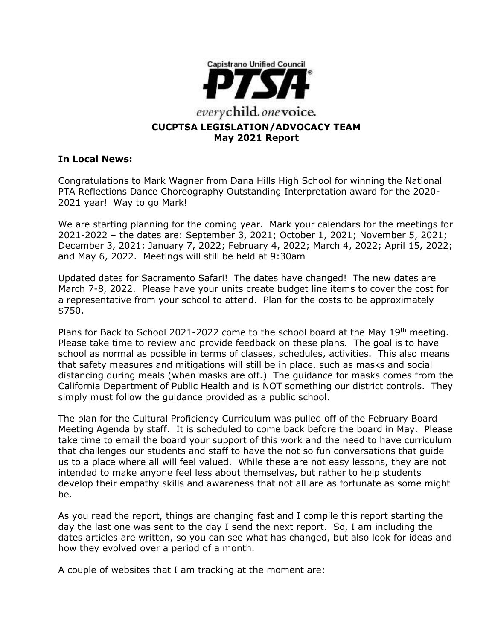

### **In Local News:**

Congratulations to Mark Wagner from Dana Hills High School for winning the National PTA Reflections Dance Choreography Outstanding Interpretation award for the 2020- 2021 year! Way to go Mark!

We are starting planning for the coming year. Mark your calendars for the meetings for 2021-2022 – the dates are: September 3, 2021; October 1, 2021; November 5, 2021; December 3, 2021; January 7, 2022; February 4, 2022; March 4, 2022; April 15, 2022; and May 6, 2022. Meetings will still be held at 9:30am

Updated dates for Sacramento Safari! The dates have changed! The new dates are March 7-8, 2022. Please have your units create budget line items to cover the cost for a representative from your school to attend. Plan for the costs to be approximately \$750.

Plans for Back to School 2021-2022 come to the school board at the May 19th meeting. Please take time to review and provide feedback on these plans. The goal is to have school as normal as possible in terms of classes, schedules, activities. This also means that safety measures and mitigations will still be in place, such as masks and social distancing during meals (when masks are off.) The guidance for masks comes from the California Department of Public Health and is NOT something our district controls. They simply must follow the guidance provided as a public school.

The plan for the Cultural Proficiency Curriculum was pulled off of the February Board Meeting Agenda by staff. It is scheduled to come back before the board in May. Please take time to email the board your support of this work and the need to have curriculum that challenges our students and staff to have the not so fun conversations that guide us to a place where all will feel valued. While these are not easy lessons, they are not intended to make anyone feel less about themselves, but rather to help students develop their empathy skills and awareness that not all are as fortunate as some might be.

As you read the report, things are changing fast and I compile this report starting the day the last one was sent to the day I send the next report. So, I am including the dates articles are written, so you can see what has changed, but also look for ideas and how they evolved over a period of a month.

A couple of websites that I am tracking at the moment are: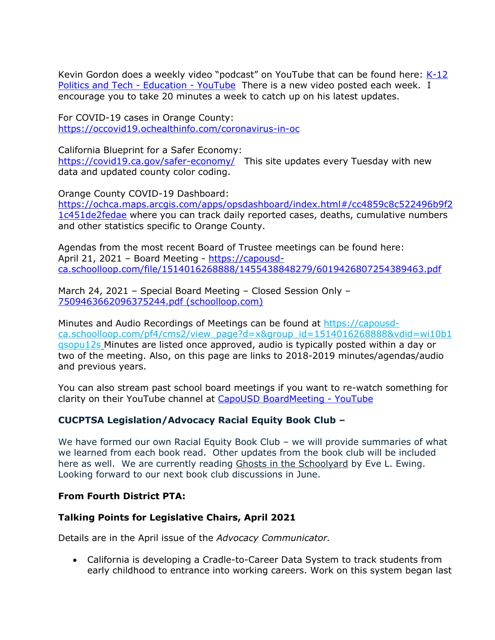Kevin Gordon does a weekly video "podcast" on YouTube that can be found here: K-12 [Politics and Tech -](https://www.youtube.com/channel/UCp5ziYY2a-svTX2bw3sBZlQ) Education - YouTube There is a new video posted each week. I encourage you to take 20 minutes a week to catch up on his latest updates.

For COVID-19 cases in Orange County: <https://occovid19.ochealthinfo.com/coronavirus-in-oc>

California Blueprint for a Safer Economy: <https://covid19.ca.gov/safer-economy/>This site updates every Tuesday with new data and updated county color coding.

Orange County COVID-19 Dashboard:

[https://ochca.maps.arcgis.com/apps/opsdashboard/index.html#/cc4859c8c522496b9f2](https://ochca.maps.arcgis.com/apps/opsdashboard/index.html#/cc4859c8c522496b9f21c451de2fedae) [1c451de2fedae](https://ochca.maps.arcgis.com/apps/opsdashboard/index.html#/cc4859c8c522496b9f21c451de2fedae) where you can track daily reported cases, deaths, cumulative numbers and other statistics specific to Orange County.

Agendas from the most recent Board of Trustee meetings can be found here: April 21, 2021 – Board Meeting - [https://capousd](https://capousd-ca.schoolloop.com/file/1514016268888/1455438848279/6019426807254389463.pdf)[ca.schoolloop.com/file/1514016268888/1455438848279/6019426807254389463.pdf](https://capousd-ca.schoolloop.com/file/1514016268888/1455438848279/6019426807254389463.pdf)

March 24, 2021 – Special Board Meeting – Closed Session Only – [7509463662096375244.pdf \(schoolloop.com\)](https://capousd-ca.schoolloop.com/file/1514016268888/1531973256666/7509463662096375244.pdf)

Minutes and Audio Recordings of Meetings can be found at [https://capousd](https://capousd-ca.schoolloop.com/pf4/cms2/view_page?d=x&group_id=1514016268888&vdid=wi10b1qsopu12s)[ca.schoolloop.com/pf4/cms2/view\\_page?d=x&group\\_id=1514016268888&vdid=wi10b1](https://capousd-ca.schoolloop.com/pf4/cms2/view_page?d=x&group_id=1514016268888&vdid=wi10b1qsopu12s) [qsopu12s](https://capousd-ca.schoolloop.com/pf4/cms2/view_page?d=x&group_id=1514016268888&vdid=wi10b1qsopu12s) Minutes are listed once approved, audio is typically posted within a day or two of the meeting. Also, on this page are links to 2018-2019 minutes/agendas/audio and previous years.

You can also stream past school board meetings if you want to re-watch something for clarity on their YouTube channel at [CapoUSD BoardMeeting -](https://www.youtube.com/channel/UCVxpUeRR8sk9-7pRYjUzzmQ) YouTube

# **CUCPTSA Legislation/Advocacy Racial Equity Book Club –**

We have formed our own Racial Equity Book Club – we will provide summaries of what we learned from each book read. Other updates from the book club will be included here as well. We are currently reading Ghosts in the Schoolyard by Eve L. Ewing. Looking forward to our next book club discussions in June.

#### **From Fourth District PTA:**

#### **Talking Points for Legislative Chairs, April 2021**

Details are in the April issue of the *Advocacy Communicator.*

• California is developing a Cradle-to-Career Data System to track students from early childhood to entrance into working careers. Work on this system began last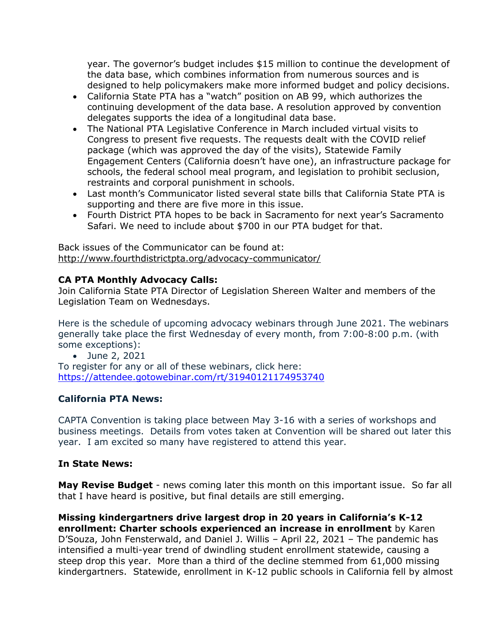year. The governor's budget includes \$15 million to continue the development of the data base, which combines information from numerous sources and is designed to help policymakers make more informed budget and policy decisions.

- California State PTA has a "watch" position on AB 99, which authorizes the continuing development of the data base. A resolution approved by convention delegates supports the idea of a longitudinal data base.
- The National PTA Legislative Conference in March included virtual visits to Congress to present five requests. The requests dealt with the COVID relief package (which was approved the day of the visits), Statewide Family Engagement Centers (California doesn't have one), an infrastructure package for schools, the federal school meal program, and legislation to prohibit seclusion, restraints and corporal punishment in schools.
- Last month's Communicator listed several state bills that California State PTA is supporting and there are five more in this issue.
- Fourth District PTA hopes to be back in Sacramento for next year's Sacramento Safari. We need to include about \$700 in our PTA budget for that.

Back issues of the Communicator can be found at: <http://www.fourthdistrictpta.org/advocacy-communicator/>

#### **CA PTA Monthly Advocacy Calls:**

Join California State PTA Director of Legislation Shereen Walter and members of the Legislation Team on Wednesdays.

Here is the schedule of upcoming advocacy webinars through June 2021. The webinars generally take place the first Wednesday of every month, from 7:00-8:00 p.m. (with some exceptions):

• June 2, 2021

To register for any or all of these webinars, click here: [https://attendee.gotowebinar.com/rt/31940121174953740](http://capta.bmetrack.com/c/l?u=AB6FF6E&e=10CEA9F&c=4592C&t=0&l=2971D61A&email=TepeYfBsuqqthho6K9B9EXzBjzlZ2TJR&seq=1)

#### **California PTA News:**

CAPTA Convention is taking place between May 3-16 with a series of workshops and business meetings. Details from votes taken at Convention will be shared out later this year. I am excited so many have registered to attend this year.

#### **In State News:**

**May Revise Budget** - news coming later this month on this important issue. So far all that I have heard is positive, but final details are still emerging.

**Missing kindergartners drive largest drop in 20 years in California's K-12 enrollment: Charter schools experienced an increase in enrollment** by Karen D'Souza, John Fensterwald, and Daniel J. Willis – April 22, 2021 – The pandemic has intensified a multi-year trend of dwindling student enrollment statewide, causing a steep drop this year. More than a third of the decline stemmed from 61,000 missing kindergartners. Statewide, enrollment in K-12 public schools in California fell by almost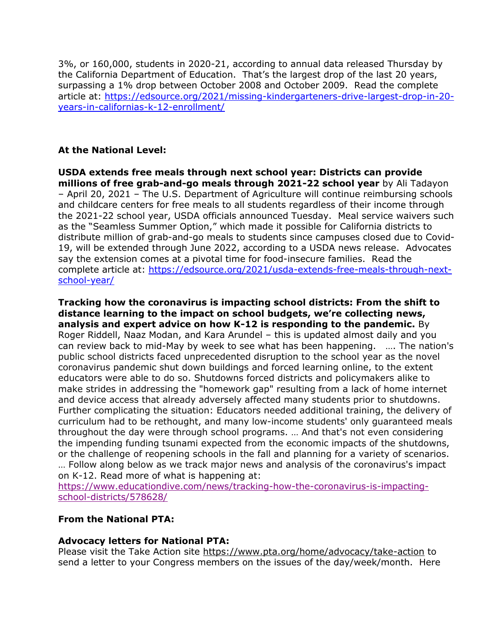3%, or 160,000, students in 2020-21, according to annual data released Thursday by the California Department of Education. That's the largest drop of the last 20 years, surpassing a 1% drop between October 2008 and October 2009. Read the complete article at: [https://edsource.org/2021/missing-kindergarteners-drive-largest-drop-in-20](https://edsource.org/2021/missing-kindergarteners-drive-largest-drop-in-20-years-in-californias-k-12-enrollment/) [years-in-californias-k-12-enrollment/](https://edsource.org/2021/missing-kindergarteners-drive-largest-drop-in-20-years-in-californias-k-12-enrollment/)

## **At the National Level:**

**USDA extends free meals through next school year: Districts can provide millions of free grab-and-go meals through 2021-22 school year** by Ali Tadayon – April 20, 2021 – The U.S. Department of Agriculture will continue reimbursing schools and childcare centers for free meals to all students regardless of their income through the 2021-22 school year, USDA officials announced Tuesday. Meal service waivers such as the "Seamless Summer Option," which made it possible for California districts to distribute million of grab-and-go meals to students since campuses closed due to Covid-19, will be extended through June 2022, according to a USDA news release. Advocates say the extension comes at a pivotal time for food-insecure families. Read the complete article at: [https://edsource.org/2021/usda-extends-free-meals-through-next](https://edsource.org/2021/usda-extends-free-meals-through-next-school-year/)[school-year/](https://edsource.org/2021/usda-extends-free-meals-through-next-school-year/)

**Tracking how the coronavirus is impacting school districts: From the shift to distance learning to the impact on school budgets, we're collecting news, analysis and expert advice on how K-12 is responding to the pandemic.** By Roger Riddell, Naaz Modan, and Kara Arundel – this is updated almost daily and you can review back to mid-May by week to see what has been happening. …. The nation's public school districts faced unprecedented disruption to the school year as the novel coronavirus pandemic shut down buildings and forced learning online, to the extent educators were able to do so. Shutdowns forced districts and policymakers alike to make strides in addressing the "homework gap" resulting from a lack of home internet and device access that already adversely affected many students prior to shutdowns. Further complicating the situation: Educators needed additional training, the delivery of curriculum had to be rethought, and many low-income students' only guaranteed meals throughout the day were through school programs. … And that's not even considering the impending funding tsunami expected from the economic impacts of the shutdowns, or the challenge of reopening schools in the fall and planning for a variety of scenarios.

… Follow along below as we track major news and analysis of the coronavirus's impact on K-12. Read more of what is happening at:

[https://www.educationdive.com/news/tracking-how-the-coronavirus-is-impacting](https://www.educationdive.com/news/tracking-how-the-coronavirus-is-impacting-school-districts/578628/)[school-districts/578628/](https://www.educationdive.com/news/tracking-how-the-coronavirus-is-impacting-school-districts/578628/)

#### **From the National PTA:**

#### **Advocacy letters for National PTA:**

Please visit the Take Action site<https://www.pta.org/home/advocacy/take-action> to send a letter to your Congress members on the issues of the day/week/month. Here